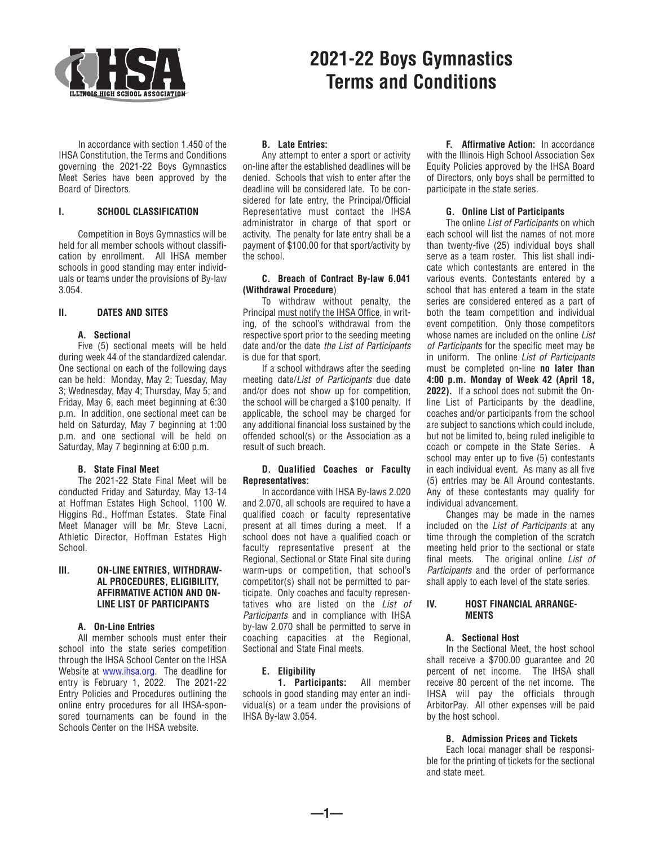

 In accordance with section 1.450 of the IHSA Constitution, the Terms and Conditions governing the 2021-22 Boys Gymnastics Meet Series have been approved by the Board of Directors.

# **I. SCHOOL CLASSIFICATION**

 Competition in Boys Gymnastics will be held for all member schools without classification by enrollment. All IHSA member schools in good standing may enter individuals or teams under the provisions of By-law 3.054.

# **II. DATES AND SITES**

# **A. Sectional**

 Five (5) sectional meets will be held during week 44 of the standardized calendar. One sectional on each of the following days can be held: Monday, May 2; Tuesday, May 3; Wednesday, May 4; Thursday, May 5; and Friday, May 6, each meet beginning at 6:30 p.m. In addition, one sectional meet can be held on Saturday, May 7 beginning at 1:00 p.m. and one sectional will be held on Saturday, May 7 beginning at 6:00 p.m.

# **B. State Final Meet**

 The 2021-22 State Final Meet will be conducted Friday and Saturday, May 13-14 at Hoffman Estates High School, 1100 W. Higgins Rd., Hoffman Estates. State Final Meet Manager will be Mr. Steve Lacni, Athletic Director, Hoffman Estates High School.

# **III. ON-LINE ENTRIES, WITHDRAW-AL PROCEDURES, ELIGIBILITY, AFFIRMATIVE ACTION AND ON-LINE LIST OF PARTICIPANTS**

## **A. On-Line Entries**

 All member schools must enter their school into the state series competition through the IHSA School Center on the IHSA Website at [www.ihsa.org.](http://www.ihsa.org/) The deadline for entry is February 1, 2022. The 2021-22 Entry Policies and Procedures outlining the online entry procedures for all IHSA-sponsored tournaments can be found in the Schools Center on the IHSA website.

## **B. Late Entries:**

 Any attempt to enter a sport or activity on-line after the established deadlines will be denied. Schools that wish to enter after the deadline will be considered late. To be considered for late entry, the Principal/Official Representative must contact the IHSA administrator in charge of that sport or activity. The penalty for late entry shall be a payment of \$100.00 for that sport/activity by the school.

**2021-22 Boys Gymnastics**

**Terms and Conditions**

## **C. Breach of Contract By-law 6.041 (Withdrawal Procedure**)

 To withdraw without penalty, the Principal must notify the IHSA Office, in writing, of the school's withdrawal from the respective sport prior to the seeding meeting date and/or the date *the List of Participants* is due for that sport.

 If a school withdraws after the seeding meeting date/*List of Participants* due date and/or does not show up for competition, the school will be charged a \$100 penalty. If applicable, the school may be charged for any additional financial loss sustained by the offended school(s) or the Association as a result of such breach.

# **D. Qualified Coaches or Faculty Representatives:**

In accordance with IHSA By-laws 2.020 and 2.070, all schools are required to have a qualified coach or faculty representative present at all times during a meet. If a school does not have a qualified coach or faculty representative present at the Regional, Sectional or State Final site during warm-ups or competition, that school's competitor(s) shall not be permitted to participate. Only coaches and faculty representatives who are listed on the *List of Participants* and in compliance with IHSA by-law 2.070 shall be permitted to serve in coaching capacities at the Regional, Sectional and State Final meets.

# **E. Eligibility**

 **1. Participants:** All member schools in good standing may enter an individual(s) or a team under the provisions of IHSA By-law 3.054.

**—1—**

 **F. Affirmative Action:** In accordance with the Illinois High School Association Sex Equity Policies approved by the IHSA Board of Directors, only boys shall be permitted to participate in the state series.

# **G. Online List of Participants**

 The online *List of Participants* on which each school will list the names of not more than twenty-five (25) individual boys shall serve as a team roster. This list shall indicate which contestants are entered in the various events. Contestants entered by a school that has entered a team in the state series are considered entered as a part of both the team competition and individual event competition. Only those competitors whose names are included on the online *List of Participants* for the specific meet may be in uniform. The online *List of Participants* must be completed on-line **no later than 4:00 p.m. Monday of Week 42 (April 18, 2022).** If a school does not submit the Online List of Participants by the deadline, coaches and/or participants from the school are subject to sanctions which could include, but not be limited to, being ruled ineligible to coach or compete in the State Series. A school may enter up to five (5) contestants in each individual event. As many as all five (5) entries may be All Around contestants. Any of these contestants may qualify for individual advancement.

 Changes may be made in the names included on the *List of Participants* at any time through the completion of the scratch meeting held prior to the sectional or state final meets. The original online *List of Participants* and the order of performance shall apply to each level of the state series.

# **IV. HOST FINANCIAL ARRANGE-MENTS**

## **A. Sectional Host**

In the Sectional Meet, the host school shall receive a \$700.00 guarantee and 20 percent of net income. The IHSA shall receive 80 percent of the net income. The IHSA will pay the officials through ArbitorPay. All other expenses will be paid by the host school.

# **B. Admission Prices and Tickets**

 Each local manager shall be responsible for the printing of tickets for the sectional and state meet.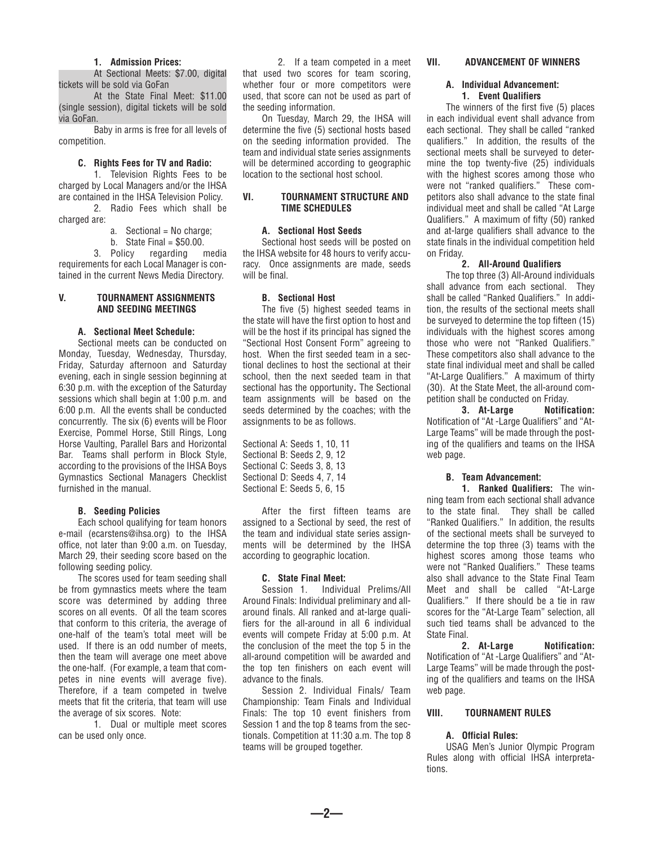#### **1. Admission Prices:**

 At Sectional Meets: \$7.00, digital tickets will be sold via GoFan

 At the State Final Meet: \$11.00 (single session), digital tickets will be sold via GoFan.

 Baby in arms is free for all levels of competition.

### **C. Rights Fees for TV and Radio:**

 1. Television Rights Fees to be charged by Local Managers and/or the IHSA are contained in the IHSA Television Policy. 2. Radio Fees which shall be

charged are:

- a. Sectional = No charge;
- b. State Final  $=$  \$50.00.

 3. Policy regarding media requirements for each Local Manager is contained in the current News Media Directory.

#### **V. TOURNAMENT ASSIGNMENTS AND SEEDING MEETINGS**

# **A. Sectional Meet Schedule:**

 Sectional meets can be conducted on Monday, Tuesday, Wednesday, Thursday, Friday, Saturday afternoon and Saturday evening, each in single session beginning at 6:30 p.m. with the exception of the Saturday sessions which shall begin at 1:00 p.m. and 6:00 p.m. All the events shall be conducted concurrently. The six (6) events will be Floor Exercise, Pommel Horse, Still Rings, Long Horse Vaulting, Parallel Bars and Horizontal Bar. Teams shall perform in Block Style, according to the provisions of the IHSA Boys Gymnastics Sectional Managers Checklist furnished in the manual.

# **B. Seeding Policies**

 Each school qualifying for team honors e-mail (ecarstens@ihsa.org) to the IHSA office, not later than 9:00 a.m. on Tuesday, March 29, their seeding score based on the following seeding policy.

 The scores used for team seeding shall be from gymnastics meets where the team score was determined by adding three scores on all events. Of all the team scores that conform to this criteria, the average of one-half of the team's total meet will be used. If there is an odd number of meets, then the team will average one meet above the one-half. (For example, a team that competes in nine events will average five). Therefore, if a team competed in twelve meets that fit the criteria, that team will use the average of six scores. Note:

 1. Dual or multiple meet scores can be used only once.

 2. If a team competed in a meet that used two scores for team scoring, whether four or more competitors were used, that score can not be used as part of the seeding information.

 On Tuesday, March 29, the IHSA will determine the five (5) sectional hosts based on the seeding information provided. The team and individual state series assignments will be determined according to geographic location to the sectional host school.

# **VI. TOURNAMENT STRUCTURE AND TIME SCHEDULES**

# **A. Sectional Host Seeds**

 Sectional host seeds will be posted on the IHSA website for 48 hours to verify accuracy. Once assignments are made, seeds will be final.

## **B. Sectional Host**

 The five (5) highest seeded teams in the state will have the first option to host and will be the host if its principal has signed the "Sectional Host Consent Form" agreeing to host. When the first seeded team in a sectional declines to host the sectional at their school, then the next seeded team in that sectional has the opportunity**.** The Sectional team assignments will be based on the seeds determined by the coaches; with the assignments to be as follows.

Sectional A: Seeds 1, 10, 11 Sectional B: Seeds 2, 9, 12 Sectional C: Seeds 3, 8, 13 Sectional D: Seeds 4, 7, 14 Sectional E: Seeds 5, 6, 15

 After the first fifteen teams are assigned to a Sectional by seed, the rest of the team and individual state series assignments will be determined by the IHSA according to geographic location.

#### **C. State Final Meet:**

 Session 1. Individual Prelims/All Around Finals: Individual preliminary and allaround finals. All ranked and at-large qualifiers for the all-around in all 6 individual events will compete Friday at 5:00 p.m. At the conclusion of the meet the top 5 in the all-around competition will be awarded and the top ten finishers on each event will advance to the finals.

 Session 2. Individual Finals/ Team Championship: Team Finals and Individual Finals: The top 10 event finishers from Session 1 and the top 8 teams from the sectionals. Competition at 11:30 a.m. The top 8 teams will be grouped together.

**—2—**

### **VII. ADVANCEMENT OF WINNERS**

#### **A. Individual Advancement: 1. Event Qualifiers**

 The winners of the first five (5) places in each individual event shall advance from each sectional. They shall be called "ranked qualifiers." In addition, the results of the sectional meets shall be surveyed to determine the top twenty-five (25) individuals with the highest scores among those who were not "ranked qualifiers." These competitors also shall advance to the state final individual meet and shall be called "At Large Qualifiers." A maximum of fifty (50) ranked and at-large qualifiers shall advance to the state finals in the individual competition held on Friday.

# **2. All-Around Qualifiers**

 The top three (3) All-Around individuals shall advance from each sectional. They shall be called "Ranked Qualifiers." In addition, the results of the sectional meets shall be surveyed to determine the top fifteen (15) individuals with the highest scores among those who were not "Ranked Qualifiers." These competitors also shall advance to the state final individual meet and shall be called "At-Large Qualifiers." A maximum of thirty (30). At the State Meet, the all-around competition shall be conducted on Friday.

 **3. At-Large Notification:** Notification of "At -Large Qualifiers" and "At-Large Teams" will be made through the posting of the qualifiers and teams on the IHSA web page.

# **B. Team Advancement:**

 **1. Ranked Qualifiers:** The winning team from each sectional shall advance to the state final. They shall be called "Ranked Qualifiers." In addition, the results of the sectional meets shall be surveyed to determine the top three (3) teams with the highest scores among those teams who were not "Ranked Qualifiers." These teams also shall advance to the State Final Team Meet and shall be called "At-Large Qualifiers." If there should be a tie in raw scores for the "At-Large Team" selection, all such tied teams shall be advanced to the State Final.

 **2. At-Large Notification:** Notification of "At -Large Qualifiers" and "At-Large Teams" will be made through the posting of the qualifiers and teams on the IHSA web page.

#### **VIII. TOURNAMENT RULES**

## **A. Official Rules:**

USAG Men's Junior Olympic Program Rules along with official IHSA interpretations.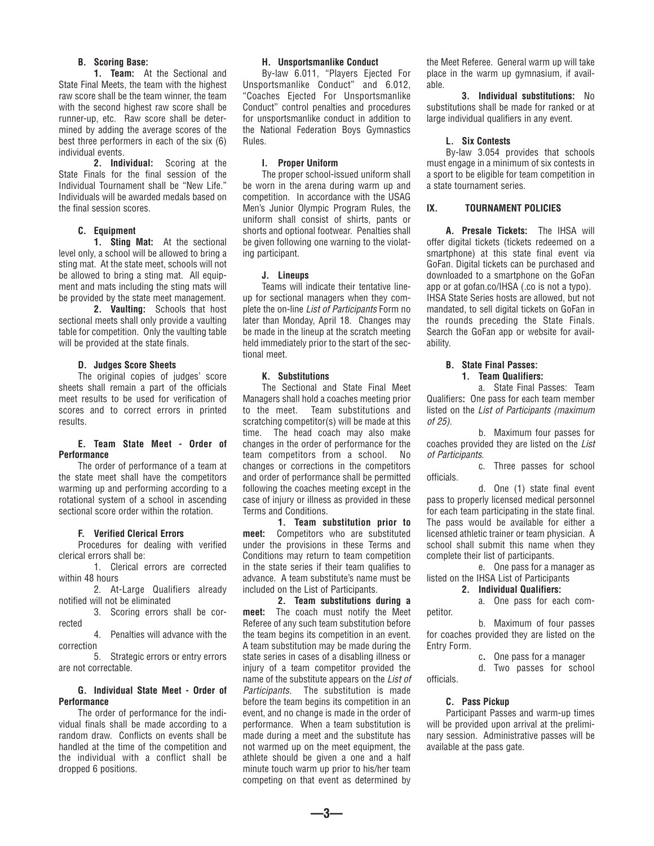# **B. Scoring Base:**

 **1. Team:** At the Sectional and State Final Meets, the team with the highest raw score shall be the team winner, the team with the second highest raw score shall be runner-up, etc. Raw score shall be determined by adding the average scores of the best three performers in each of the six (6) individual events.

 **2. Individual:** Scoring at the State Finals for the final session of the Individual Tournament shall be "New Life." Individuals will be awarded medals based on the final session scores.

#### **C. Equipment**

 **1. Sting Mat:** At the sectional level only, a school will be allowed to bring a sting mat. At the state meet, schools will not be allowed to bring a sting mat. All equipment and mats including the sting mats will be provided by the state meet management.

 **2. Vaulting:** Schools that host sectional meets shall only provide a vaulting table for competition. Only the vaulting table will be provided at the state finals.

### **D. Judges Score Sheets**

 The original copies of judges' score sheets shall remain a part of the officials meet results to be used for verification of scores and to correct errors in printed results.

# **E. Team State Meet - Order of Performance**

 The order of performance of a team at the state meet shall have the competitors warming up and performing according to a rotational system of a school in ascending sectional score order within the rotation.

# **F. Verified Clerical Errors**

 Procedures for dealing with verified clerical errors shall be:

 1. Clerical errors are corrected within 48 hours

 2. At-Large Qualifiers already notified will not be eliminated

 3. Scoring errors shall be corrected

 4. Penalties will advance with the correction

 5. Strategic errors or entry errors are not correctable.

#### **G. Individual State Meet - Order of Performance**

 The order of performance for the individual finals shall be made according to a random draw. Conflicts on events shall be handled at the time of the competition and the individual with a conflict shall be dropped 6 positions.

#### **H. Unsportsmanlike Conduct**

 By-law 6.011, "Players Ejected For Unsportsmanlike Conduct" and 6.012, "Coaches Ejected For Unsportsmanlike Conduct" control penalties and procedures for unsportsmanlike conduct in addition to the National Federation Boys Gymnastics Rules.

## **I. Proper Uniform**

The proper school-issued uniform shall be worn in the arena during warm up and competition. In accordance with the USAG Men's Junior Olympic Program Rules, the uniform shall consist of shirts, pants or shorts and optional footwear. Penalties shall be given following one warning to the violating participant.

## **J. Lineups**

 Teams will indicate their tentative lineup for sectional managers when they complete the on-line *List of Participants* Form no later than Monday, April 18. Changes may be made in the lineup at the scratch meeting held immediately prior to the start of the sectional meet.

## **K. Substitutions**

The Sectional and State Final Meet Managers shall hold a coaches meeting prior to the meet. Team substitutions and scratching competitor(s) will be made at this time. The head coach may also make changes in the order of performance for the team competitors from a school. No changes or corrections in the competitors and order of performance shall be permitted following the coaches meeting except in the case of injury or illness as provided in these Terms and Conditions.

 **1. Team substitution prior to meet:** Competitors who are substituted under the provisions in these Terms and Conditions may return to team competition in the state series if their team qualifies to advance. A team substitute's name must be included on the List of Participants.

 **2. Team substitutions during a meet:** The coach must notify the Meet Referee of any such team substitution before the team begins its competition in an event. A team substitution may be made during the state series in cases of a disabling illness or injury of a team competitor provided the name of the substitute appears on the *List of Participants.* The substitution is made before the team begins its competition in an event, and no change is made in the order of performance. When a team substitution is made during a meet and the substitute has not warmed up on the meet equipment, the athlete should be given a one and a half minute touch warm up prior to his/her team competing on that event as determined by

**—3—**

the Meet Referee. General warm up will take place in the warm up gymnasium, if available.

 **3. Individual substitutions:** No substitutions shall be made for ranked or at large individual qualifiers in any event.

#### **L. Six Contests**

 By-law 3.054 provides that schools must engage in a minimum of six contests in a sport to be eligible for team competition in a state tournament series.

### **IX. TOURNAMENT POLICIES**

 **A. Presale Tickets:** The IHSA will offer digital tickets (tickets redeemed on a smartphone) at this state final event via GoFan. Digital tickets can be purchased and downloaded to a smartphone on the GoFan app or at gofan.co/IHSA (.co is not a typo). IHSA State Series hosts are allowed, but not mandated, to sell digital tickets on GoFan in the rounds preceding the State Finals. Search the GoFan app or website for availability.

# **B. State Final Passes:**

# **1. Team Qualifiers:**

 a. State Final Passes: Team Qualifiers**:** One pass for each team member listed on the *List of Participants (maximum of 25).*

 b. Maximum four passes for coaches provided they are listed on the *List of Participants*.

 c. Three passes for school officials.

 d. One (1) state final event pass to properly licensed medical personnel for each team participating in the state final. The pass would be available for either a licensed athletic trainer or team physician. A school shall submit this name when they complete their list of participants.

 e. One pass for a manager as listed on the IHSA List of Participants

## **2. Individual Qualifiers:**

a. One pass for each com-

 b. Maximum of four passes for coaches provided they are listed on the Entry Form.

c**.** One pass for a manager

 d. Two passes for school officials.

# **C. Pass Pickup**

petitor.

 Participant Passes and warm-up times will be provided upon arrival at the preliminary session. Administrative passes will be available at the pass gate.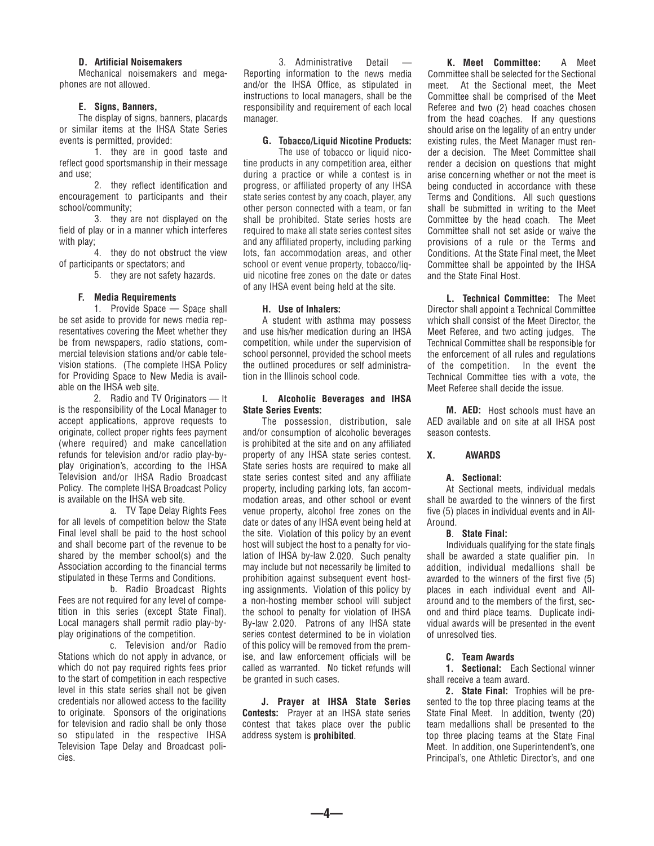#### **D. Artificial Noisemakers**

Mechanical noisemakers and megaphones are not allowed.

### **E. Signs, Banners,**

The display of signs, banners, placards or similar items at the IHSA State Series events is permitted, provided:

1. they are in good taste and reflect good sportsmanship in their message and use;

2. they reflect identification and encouragement to participants and their school/community;

3. they are not displayed on the field of play or in <sup>a</sup> manner which interferes with play;

4. they do not obstruct the view of participants or spectators; and

5. they are not safety hazards.

## **F. Media Requirements**

1. Provide Space — Space shall be set aside to provide for news media representatives covering the Meet whether they be from newspapers, radio stations, commercial television stations and/or cable television stations. (The complete IHSA Policy for Providing Space to New Media is available on the IHSA web site.

2. Radio and TV Originators — It is the responsibility of the Local Manager to accept applications, approve requests to originate, collect proper rights fees payment (where required) and make cancellation refunds for television and/or radio play-byplay origination's, according to the IHSA Television and/or IHSA Radio Broadcast Policy. The complete IHSA Broadcast Policy is available on the IHSA web site.

a. TV Tape Delay Rights Fees for all levels of competition below the State Final level shall be paid to the host school and shall become part of the revenue to be shared by the member school(s) and the Association according to the financial terms stipulated in these Terms and Conditions.

b. Radio Broadcast Rights Fees are not required for any level of competition in this series (except State Final). Local managers shall permit radio play-byplay originations of the competition.

c. Television and/or Radio Stations which do not apply in advance, or which do not pay required rights fees prior to the start of competition in each respective level in this state series shall not be given credentials nor allowed access to the facility to originate. Sponsors of the originations for television and radio shall be only those so stipulated in the respective IHSA Television Tape Delay and Broadcast policies.

3. Administrative Detail — Reporting information to the news media and/or the IHSA Office, as stipulated in instructions to local managers, shall be the responsibility and requirement of each local manager.

# **G. Tobacco/Liquid Nicotine Products:**

The use of tobacco or liquid nicotine products in any competition area, either during <sup>a</sup> practice or while <sup>a</sup> contest is in progress, or affiliated property of any IHSA state series contest by any coach, player, any other person connected with <sup>a</sup> team, or fan shall be prohibited. State series hosts are required to make all state series contest sites and any affiliated property, including parking lots, fan accommodation areas, and other school or event venue property, tobacco/liquid nicotine free zones on the date or dates of any IHSA event being held at the site.

## **H. Use of Inhalers:**

A student with asthma may possess and use his/her medication during an IHSA competition, while under the supervision of school personnel, provided the school meets the outlined procedures or self administration in the Illinois school code.

# **I. Alcoholic Beverages and IHSA State Series Events:**

The possession, distribution, sale and/or consumption of alcoholic beverages is prohibited at the site and on any affiliated property of any IHSA state series contest. State series hosts are required to make all state series contest sited and any affiliate property, including parking lots, fan accommodation areas, and other school or event venue property, alcohol free zones on the date or dates of any IHSA event being held at the site. Violation of this policy by an event host will subject the host to <sup>a</sup> penalty for violation of IHSA by-law 2.020. Such penalty may include but not necessarily be limited to prohibition against subsequent event hosting assignments. Violation of this policy by <sup>a</sup> non-hosting member school will subject the school to penalty for violation of IHSA By-law 2.020. Patrons of any IHSA state series contest determined to be in violation of this policy will be removed from the premise, and law enforcement officials will be called as warranted. No ticket refunds will be granted in such cases.

**J. Prayer at IHSA State Series Contests:** Prayer at an IHSA state series contest that takes place over the public address system is **prohibited**.

**—4—**

**K. Meet Committee:** A Meet Committee shall be selected for the Sectional meet. At the Sectional meet, the Meet Committee shall be comprised of the Meet Referee and two (2) head coaches chosen from the head coaches. If any questions should arise on the legality of an entry under existing rules, the Meet Manager must render a decision. The Meet Committee shall render <sup>a</sup> decision on questions that might arise concerning whether or not the meet is being conducted in accordance with these Terms and Conditions. All such questions shall be submitted in writing to the Meet Committee by the head coach. The Meet Committee shall not set aside or waive the provisions of <sup>a</sup> rule or the Terms and Conditions. At the State Final meet, the Meet Committee shall be appointed by the IHSA and the State Final Host.

**L. Technical Committee:** The Meet Director shall appoint <sup>a</sup> Technical Committee which shall consist of the Meet Director, the Meet Referee, and two acting judges. The Technical Committee shall be responsible for the enforcement of all rules and regulations of the competition. In the event the Technical Committee ties with <sup>a</sup> vote, the Meet Referee shall decide the issue.

**M. AED:** Host schools must have an AED available and on site at all IHSA post season contests.

#### **X. AWARDS**

## **A. Sectional:**

At Sectional meets, individual medals shall be awarded to the winners of the first five (5) places in individual events and in All-Around.

## **B**. **State Final:**

Individuals qualifying for the state finals shall be awarded <sup>a</sup> state qualifier pin. In addition, individual medallions shall be awarded to the winners of the first five (5) places in each individual event and Allaround and to the members of the first, second and third place teams. Duplicate individual awards will be presented in the event of unresolved ties.

#### **C. Team Awards**

**1. Sectional:** Each Sectional winner shall receive a team award.

**2. State Final:** Trophies will be presented to the top three placing teams at the State Final Meet. In addition, twenty (20) team medallions shall be presented to the top three placing teams at the State Final Meet. In addition, one Superintendent's, one Principal's, one Athletic Director's, and one